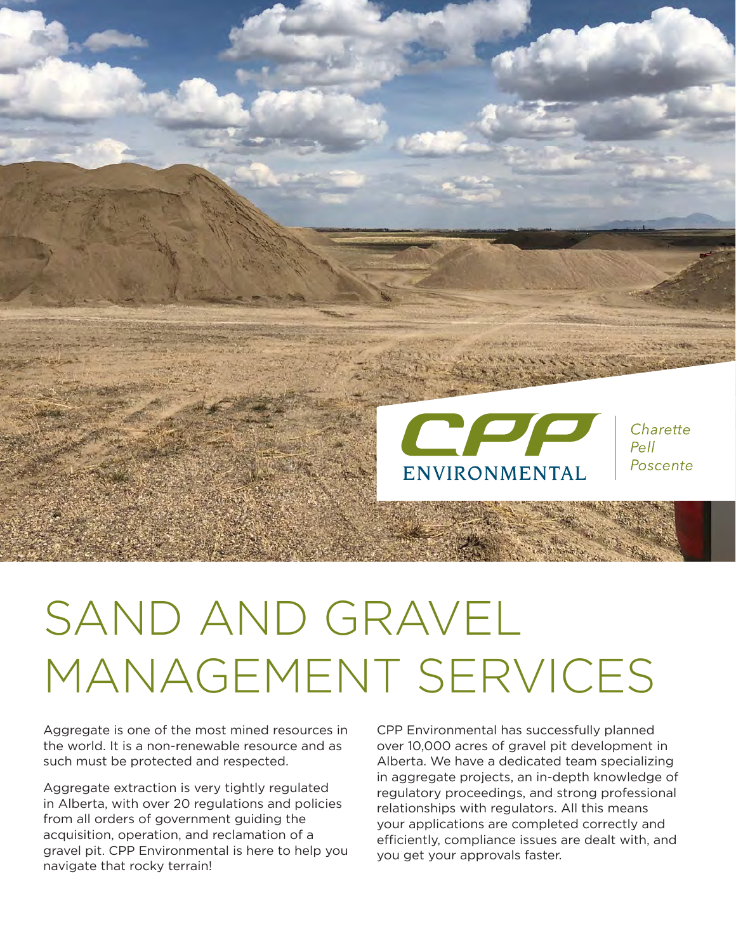

# SAND AND GRAVEL MANAGEMENT SERVICES

Aggregate is one of the most mined resources in the world. It is a non-renewable resource and as such must be protected and respected.

Aggregate extraction is very tightly regulated in Alberta, with over 20 regulations and policies from all orders of government guiding the acquisition, operation, and reclamation of a gravel pit. CPP Environmental is here to help you navigate that rocky terrain!

CPP Environmental has successfully planned over 10,000 acres of gravel pit development in Alberta. We have a dedicated team specializing in aggregate projects, an in-depth knowledge of regulatory proceedings, and strong professional relationships with regulators. All this means your applications are completed correctly and efficiently, compliance issues are dealt with, and you get your approvals faster.